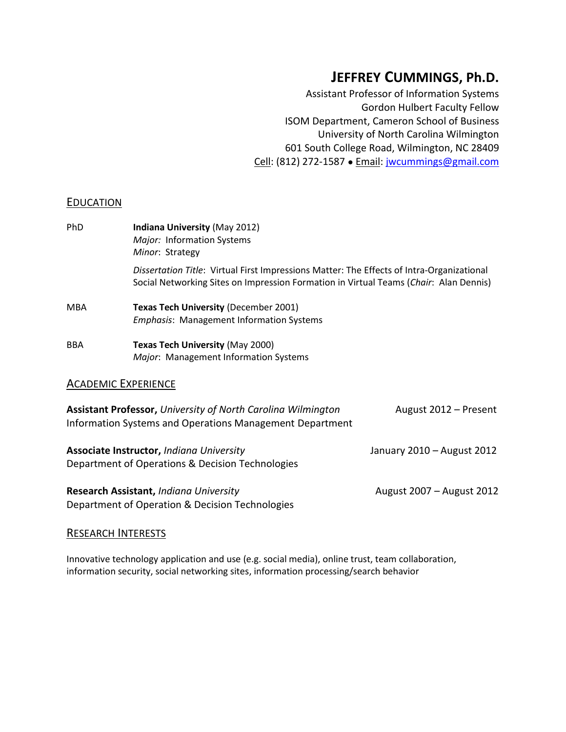# **JEFFREY CUMMINGS, Ph.D.**

Assistant Professor of Information Systems Gordon Hulbert Faculty Fellow ISOM Department, Cameron School of Business University of North Carolina Wilmington 601 South College Road, Wilmington, NC 28409 Cell: (812) 272-1587 ● Email: [jwcummings@gmail.com](mailto:jwcummings@gmail.com)

## **EDUCATION**

| <b>Indiana University (May 2012)</b><br>Major: Information Systems                                                                                                                 |
|------------------------------------------------------------------------------------------------------------------------------------------------------------------------------------|
| Minor: Strategy                                                                                                                                                                    |
| Dissertation Title: Virtual First Impressions Matter: The Effects of Intra-Organizational<br>Social Networking Sites on Impression Formation in Virtual Teams (Chair: Alan Dennis) |
| <b>Texas Tech University (December 2001)</b><br><i>Emphasis:</i> Management Information Systems                                                                                    |
| <b>Texas Tech University (May 2000)</b><br>Major: Management Information Systems                                                                                                   |
|                                                                                                                                                                                    |

## ACADEMIC EXPERIENCE

| Assistant Professor, University of North Carolina Wilmington<br>Information Systems and Operations Management Department | August 2012 - Present      |
|--------------------------------------------------------------------------------------------------------------------------|----------------------------|
| Associate Instructor, Indiana University<br>Department of Operations & Decision Technologies                             | January 2010 - August 2012 |
| Research Assistant, Indiana University                                                                                   | August 2007 - August 2012  |

## RESEARCH INTERESTS

Department of Operation & Decision Technologies

Innovative technology application and use (e.g. social media), online trust, team collaboration, information security, social networking sites, information processing/search behavior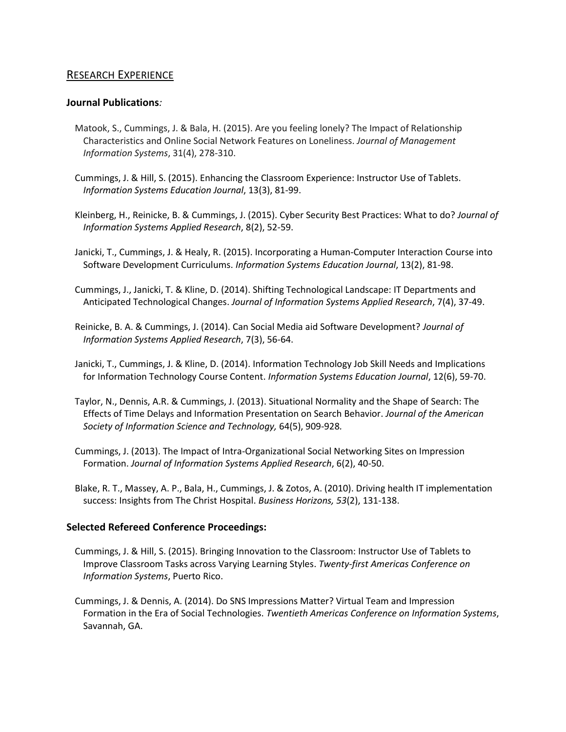## RESEARCH EXPERIENCE

#### **Journal Publications***:*

- Matook, S., Cummings, J. & Bala, H. (2015). Are you feeling lonely? The Impact of Relationship Characteristics and Online Social Network Features on Loneliness. *Journal of Management Information Systems*, 31(4), 278-310.
- Cummings, J. & Hill, S. (2015). Enhancing the Classroom Experience: Instructor Use of Tablets. *Information Systems Education Journal*, 13(3), 81-99.
- Kleinberg, H., Reinicke, B. & Cummings, J. (2015). Cyber Security Best Practices: What to do? *Journal of Information Systems Applied Research*, 8(2), 52-59.
- Janicki, T., Cummings, J. & Healy, R. (2015). Incorporating a Human-Computer Interaction Course into Software Development Curriculums. *Information Systems Education Journal*, 13(2), 81-98.
- Cummings, J., Janicki, T. & Kline, D. (2014). Shifting Technological Landscape: IT Departments and Anticipated Technological Changes. *Journal of Information Systems Applied Research*, 7(4), 37-49.
- Reinicke, B. A. & Cummings, J. (2014). Can Social Media aid Software Development? *Journal of Information Systems Applied Research*, 7(3), 56-64.
- Janicki, T., Cummings, J. & Kline, D. (2014). Information Technology Job Skill Needs and Implications for Information Technology Course Content. *Information Systems Education Journal*, 12(6), 59-70.
- Taylor, N., Dennis, A.R. & Cummings, J. (2013). Situational Normality and the Shape of Search: The Effects of Time Delays and Information Presentation on Search Behavior. *Journal of the American Society of Information Science and Technology,* 64(5), 909-928*.*
- Cummings, J. (2013). The Impact of Intra-Organizational Social Networking Sites on Impression Formation. *Journal of Information Systems Applied Research*, 6(2), 40-50.
- Blake, R. T., Massey, A. P., Bala, H., Cummings, J. & Zotos, A. (2010). Driving health IT implementation success: Insights from The Christ Hospital. *Business Horizons, 53*(2), 131-138.

## **Selected Refereed Conference Proceedings:**

- Cummings, J. & Hill, S. (2015). Bringing Innovation to the Classroom: Instructor Use of Tablets to Improve Classroom Tasks across Varying Learning Styles. *Twenty-first Americas Conference on Information Systems*, Puerto Rico.
- Cummings, J. & Dennis, A. (2014). Do SNS Impressions Matter? Virtual Team and Impression Formation in the Era of Social Technologies. *Twentieth Americas Conference on Information Systems*, Savannah, GA.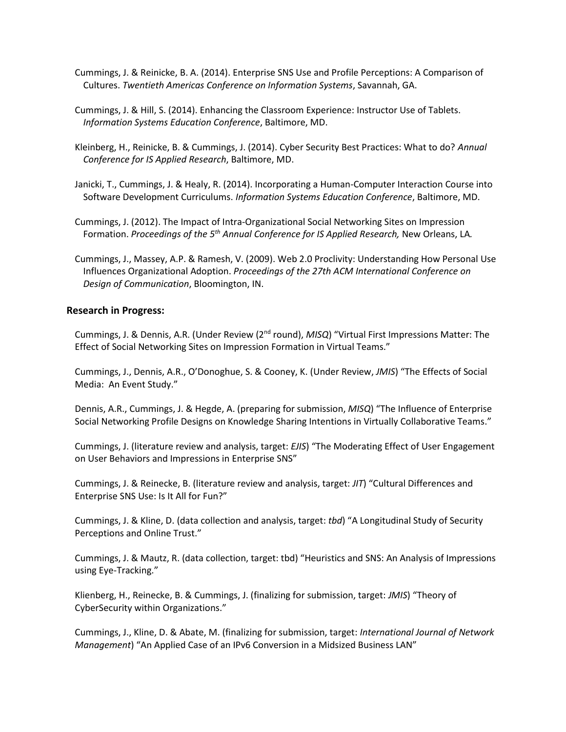- Cummings, J. & Reinicke, B. A. (2014). Enterprise SNS Use and Profile Perceptions: A Comparison of Cultures. *Twentieth Americas Conference on Information Systems*, Savannah, GA.
- Cummings, J. & Hill, S. (2014). Enhancing the Classroom Experience: Instructor Use of Tablets. *Information Systems Education Conference*, Baltimore, MD.
- Kleinberg, H., Reinicke, B. & Cummings, J. (2014). Cyber Security Best Practices: What to do? *Annual Conference for IS Applied Research*, Baltimore, MD.
- Janicki, T., Cummings, J. & Healy, R. (2014). Incorporating a Human-Computer Interaction Course into Software Development Curriculums. *Information Systems Education Conference*, Baltimore, MD.
- Cummings, J. (2012). The Impact of Intra-Organizational Social Networking Sites on Impression Formation. *Proceedings of the 5th Annual Conference for IS Applied Research,* New Orleans, LA*.*
- Cummings, J., Massey, A.P. & Ramesh, V. (2009). Web 2.0 Proclivity: Understanding How Personal Use Influences Organizational Adoption. *Proceedings of the 27th ACM International Conference on Design of Communication*, Bloomington, IN.

#### **Research in Progress:**

Cummings, J. & Dennis, A.R. (Under Review (2nd round), *MISQ*) "Virtual First Impressions Matter: The Effect of Social Networking Sites on Impression Formation in Virtual Teams."

Cummings, J., Dennis, A.R., O'Donoghue, S. & Cooney, K. (Under Review, *JMIS*) "The Effects of Social Media: An Event Study."

Dennis, A.R., Cummings, J. & Hegde, A. (preparing for submission, *MISQ*) "The Influence of Enterprise Social Networking Profile Designs on Knowledge Sharing Intentions in Virtually Collaborative Teams."

Cummings, J. (literature review and analysis, target: *EJIS*) "The Moderating Effect of User Engagement on User Behaviors and Impressions in Enterprise SNS"

Cummings, J. & Reinecke, B. (literature review and analysis, target: *JIT*) "Cultural Differences and Enterprise SNS Use: Is It All for Fun?"

Cummings, J. & Kline, D. (data collection and analysis, target: *tbd*) "A Longitudinal Study of Security Perceptions and Online Trust."

Cummings, J. & Mautz, R. (data collection, target: tbd) "Heuristics and SNS: An Analysis of Impressions using Eye-Tracking."

Klienberg, H., Reinecke, B. & Cummings, J. (finalizing for submission, target: *JMIS*) "Theory of CyberSecurity within Organizations."

Cummings, J., Kline, D. & Abate, M. (finalizing for submission, target: *International Journal of Network Management*) "An Applied Case of an IPv6 Conversion in a Midsized Business LAN"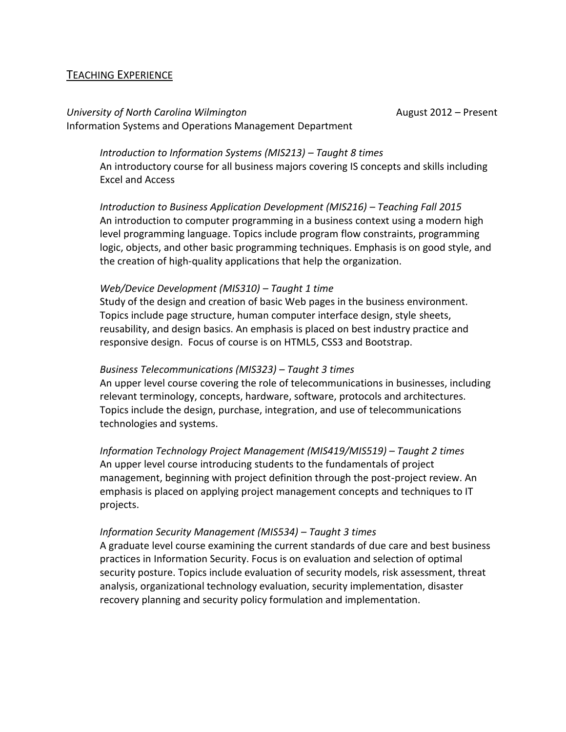## TEACHING EXPERIENCE

*University of North Carolina Wilmington* August 2012 – Present Information Systems and Operations Management Department

*Introduction to Information Systems (MIS213) – Taught 8 times* An introductory course for all business majors covering IS concepts and skills including Excel and Access

*Introduction to Business Application Development (MIS216) – Teaching Fall 2015* An introduction to computer programming in a business context using a modern high level programming language. Topics include program flow constraints, programming logic, objects, and other basic programming techniques. Emphasis is on good style, and the creation of high-quality applications that help the organization.

## *Web/Device Development (MIS310) – Taught 1 time*

Study of the design and creation of basic Web pages in the business environment. Topics include page structure, human computer interface design, style sheets, reusability, and design basics. An emphasis is placed on best industry practice and responsive design. Focus of course is on HTML5, CSS3 and Bootstrap.

#### *Business Telecommunications (MIS323) – Taught 3 times*

An upper level course covering the role of telecommunications in businesses, including relevant terminology, concepts, hardware, software, protocols and architectures. Topics include the design, purchase, integration, and use of telecommunications technologies and systems.

*Information Technology Project Management (MIS419/MIS519) – Taught 2 times* An upper level course introducing students to the fundamentals of project management, beginning with project definition through the post-project review. An emphasis is placed on applying project management concepts and techniques to IT projects.

#### *Information Security Management (MIS534) – Taught 3 times*

A graduate level course examining the current standards of due care and best business practices in Information Security. Focus is on evaluation and selection of optimal security posture. Topics include evaluation of security models, risk assessment, threat analysis, organizational technology evaluation, security implementation, disaster recovery planning and security policy formulation and implementation.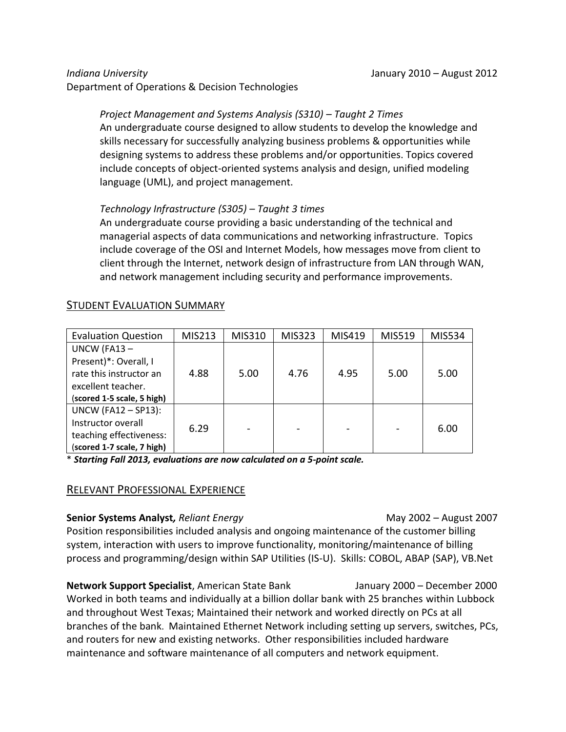Department of Operations & Decision Technologies

## *Project Management and Systems Analysis (S310) – Taught 2 Times*

An undergraduate course designed to allow students to develop the knowledge and skills necessary for successfully analyzing business problems & opportunities while designing systems to address these problems and/or opportunities. Topics covered include concepts of object-oriented systems analysis and design, unified modeling language (UML), and project management.

## *Technology Infrastructure (S305) – Taught 3 times*

An undergraduate course providing a basic understanding of the technical and managerial aspects of data communications and networking infrastructure. Topics include coverage of the OSI and Internet Models, how messages move from client to client through the Internet, network design of infrastructure from LAN through WAN, and network management including security and performance improvements.

## STUDENT EVALUATION SUMMARY

| <b>Evaluation Question</b> | MIS213 | MIS310 | MIS323 | MIS419 | MIS519 | MIS534 |
|----------------------------|--------|--------|--------|--------|--------|--------|
| UNCW (FA13-                |        |        |        |        |        |        |
| Present)*: Overall, I      |        |        |        |        |        |        |
| rate this instructor an    | 4.88   | 5.00   | 4.76   | 4.95   | 5.00   | 5.00   |
| excellent teacher.         |        |        |        |        |        |        |
| (scored 1-5 scale, 5 high) |        |        |        |        |        |        |
| <b>UNCW (FA12 - SP13):</b> |        |        |        |        |        |        |
| Instructor overall         | 6.29   |        |        |        |        | 6.00   |
| teaching effectiveness:    |        |        |        |        |        |        |
| (scored 1-7 scale, 7 high) |        |        |        |        |        |        |

\* *Starting Fall 2013, evaluations are now calculated on a 5-point scale.*

# RELEVANT PROFESSIONAL EXPERIENCE

**Senior Systems Analyst,** *Reliant Energy* May 2002 – August 2007 Position responsibilities included analysis and ongoing maintenance of the customer billing system, interaction with users to improve functionality, monitoring/maintenance of billing process and programming/design within SAP Utilities (IS-U). Skills: COBOL, ABAP (SAP), VB.Net

**Network Support Specialist**, American State Bank January 2000 – December 2000 Worked in both teams and individually at a billion dollar bank with 25 branches within Lubbock and throughout West Texas; Maintained their network and worked directly on PCs at all branches of the bank. Maintained Ethernet Network including setting up servers, switches, PCs, and routers for new and existing networks. Other responsibilities included hardware maintenance and software maintenance of all computers and network equipment.